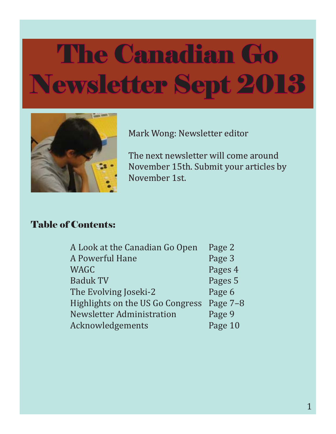

Mark Wong: Newsletter editor

The next newsletter will come around November 15th. Submit your articles by November 1st.

#### Table of Contents:

| A Look at the Canadian Go Open   | Page 2   |
|----------------------------------|----------|
| A Powerful Hane                  | Page 3   |
| WAGC                             | Pages 4  |
| <b>Baduk TV</b>                  | Pages 5  |
| The Evolving Joseki-2            | Page 6   |
| Highlights on the US Go Congress | Page 7-8 |
| Newsletter Administration        | Page 9   |
| Acknowledgements                 | Page 10  |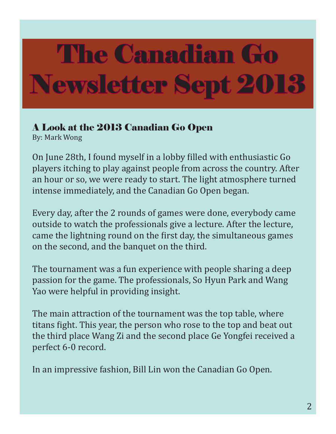### A Look at the 2013 Canadian Go Open

By: Mark Wong

On June 28th, I found myself in a lobby filled with enthusiastic Go players itching to play against people from across the country. After an hour or so, we were ready to start. The light atmosphere turned intense immediately, and the Canadian Go Open began.

Every day, after the 2 rounds of games were done, everybody came outside to watch the professionals give a lecture. After the lecture, came the lightning round on the first day, the simultaneous games on the second, and the banquet on the third.

The tournament was a fun experience with people sharing a deep passion for the game. The professionals, So Hyun Park and Wang Yao were helpful in providing insight.

The main attraction of the tournament was the top table, where titans fight. This year, the person who rose to the top and beat out the third place Wang Zi and the second place Ge Yongfei received a perfect 6-0 record.

In an impressive fashion, Bill Lin won the Canadian Go Open.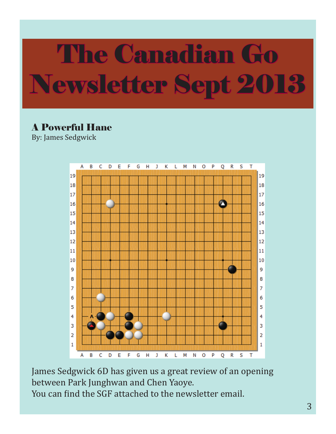### A Powerful Hane

By: James Sedgwick



James Sedgwick 6D has given us a great review of an opening between Park Junghwan and Chen Yaoye. You can find the SGF attached to the newsletter email.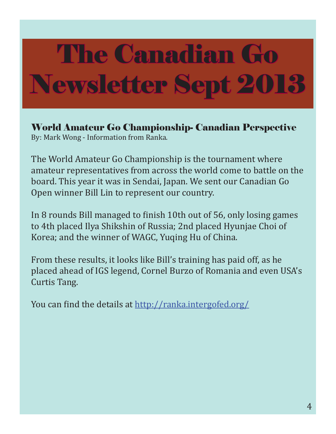World Amateur Go Championship- Canadian Perspective By: Mark Wong - Information from Ranka.

The World Amateur Go Championship is the tournament where amateur representatives from across the world come to battle on the board. This year it was in Sendai, Japan. We sent our Canadian Go Open winner Bill Lin to represent our country.

In 8 rounds Bill managed to finish 10th out of 56, only losing games to 4th placed Ilya Shikshin of Russia; 2nd placed Hyunjae Choi of Korea; and the winner of WAGC, Yuqing Hu of China.

From these results, it looks like Bill's training has paid off, as he placed ahead of IGS legend, Cornel Burzo of Romania and even USA's Curtis Tang.

You can find the details at http://ranka.intergofed.org/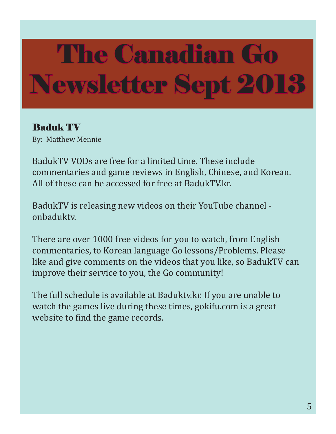### Baduk TV

By: Matthew Mennie

BadukTV VODs are free for a limited time. These include commentaries and game reviews in English, Chinese, and Korean. All of these can be accessed for free at BadukTV.kr.

BadukTV is releasing new videos on their YouTube channel onbaduktv.

There are over 1000 free videos for you to watch, from English commentaries, to Korean language Go lessons/Problems. Please like and give comments on the videos that you like, so BadukTV can improve their service to you, the Go community!

The full schedule is available at Baduktv.kr. If you are unable to watch the games live during these times, gokifu.com is a great website to find the game records.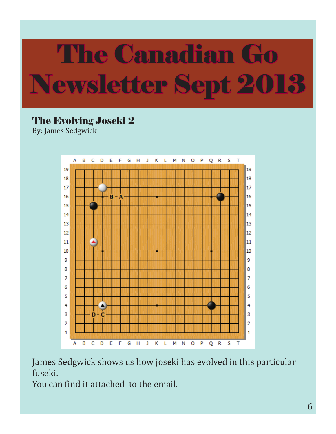### The Evolving Joseki 2

By: James Sedgwick



James Sedgwick shows us how joseki has evolved in this particular fuseki.

You can find it attached to the email.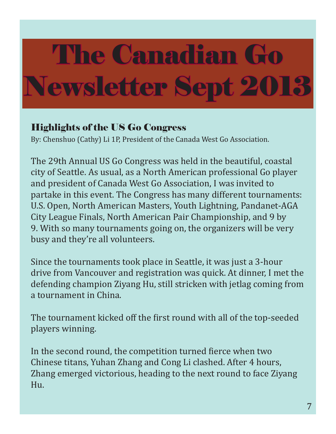#### Highlights of the US Go Congress

By: Chenshuo (Cathy) Li 1P, President of the Canada West Go Association.

The 29th Annual US Go Congress was held in the beautiful, coastal city of Seattle. As usual, as a North American professional Go player and president of Canada West Go Association, I was invited to partake in this event. The Congress has many different tournaments: U.S. Open, North American Masters, Youth Lightning, Pandanet-AGA City League Finals, North American Pair Championship, and 9 by 9. With so many tournaments going on, the organizers will be very busy and they're all volunteers.

Since the tournaments took place in Seattle, it was just a 3-hour drive from Vancouver and registration was quick. At dinner, I met the defending champion Ziyang Hu, still stricken with jetlag coming from a tournament in China.

The tournament kicked off the first round with all of the top-seeded players winning.

In the second round, the competition turned fierce when two Chinese titans, Yuhan Zhang and Cong Li clashed. After 4 hours, Zhang emerged victorious, heading to the next round to face Ziyang Hu.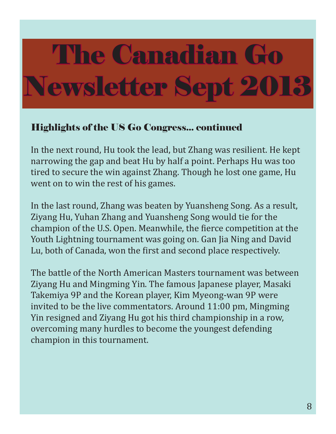#### Highlights of the US Go Congress... continued

In the next round, Hu took the lead, but Zhang was resilient. He kept narrowing the gap and beat Hu by half a point. Perhaps Hu was too tired to secure the win against Zhang. Though he lost one game, Hu went on to win the rest of his games.

In the last round, Zhang was beaten by Yuansheng Song. As a result, Ziyang Hu, Yuhan Zhang and Yuansheng Song would tie for the champion of the U.S. Open. Meanwhile, the fierce competition at the Youth Lightning tournament was going on. Gan Jia Ning and David Lu, both of Canada, won the first and second place respectively.

The battle of the North American Masters tournament was between Ziyang Hu and Mingming Yin. The famous Japanese player, Masaki Takemiya 9P and the Korean player, Kim Myeong-wan 9P were invited to be the live commentators. Around 11:00 pm, Mingming Yin resigned and Ziyang Hu got his third championship in a row, overcoming many hurdles to become the youngest defending champion in this tournament.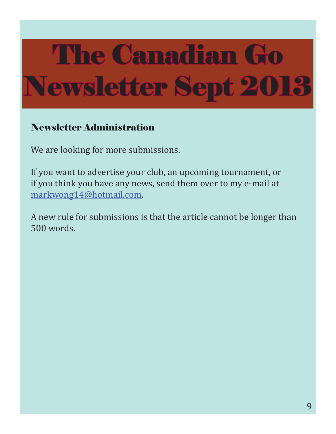#### Newsletter Administration

We are looking for more submissions.

If you want to advertise your club, an upcoming tournament, or if you think you have any news, send them over to my e-mail at markwong14@hotmail.com.

A new rule for submissions is that the article cannot be longer than 500 words.